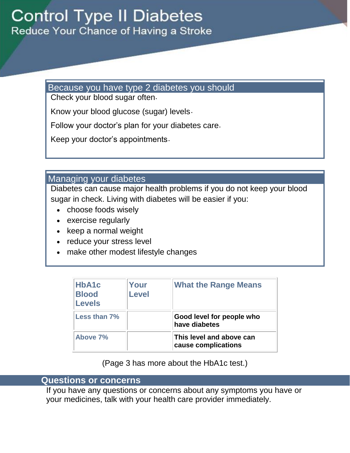# Because you have type 2 diabetes you should

Check your blood sugar often .

Know your blood glucose (sugar) levels .

Follow your doctor's plan for your diabetes care .

Keep your doctor's appointments .

## Managing your diabetes

Diabetes can cause major health problems if you do not keep your blood sugar in check. Living with diabetes will be easier if you:

- [choose foods](http://diabetes.webmd.com/content/article/59/66835) wisely
- [exercise](http://diabetes.webmd.com/content/article/46/1667_50922) regularly
- keep a normal weight
- reduce your [stress](http://diabetes.webmd.com/content/article/81/96994) level
- make other modest lifestyle changes

| HbA1c<br><b>Blood</b><br><b>Levels</b> | Your<br><b>Level</b> | <b>What the Range Means</b>                     |
|----------------------------------------|----------------------|-------------------------------------------------|
| Less than 7%                           |                      | Good level for people who<br>have diabetes      |
| Above 7%                               |                      | This level and above can<br>cause complications |

## (Page 3 has more about the HbA1c test.)

## **Questions or concerns**

If you have any questions or concerns about any symptoms you have or your medicines, talk with your health care provider immediately.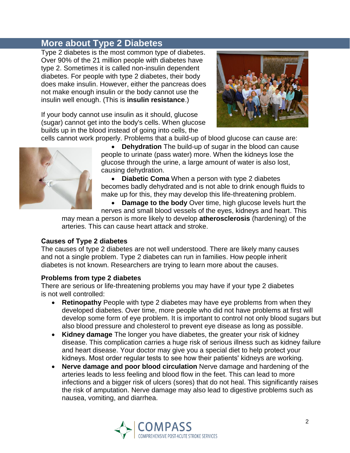# **More about Type 2 Diabetes**

Type 2 diabetes is the most common type of diabetes. Over 90% of the 21 million people with diabetes have type 2. Sometimes it is called non-insulin dependent diabetes. For people with type 2 diabetes, their body does make insulin. However, either the pancreas does not make enough insulin or the body cannot use the insulin well enough. (This is **[insulin resistance](http://diabetes.webmd.com/guide/insulin-resistance-syndrome)**.)

If your body cannot use insulin as it should, glucose (sugar) cannot get into the body's cells. When glucose builds up in the blood instead of going into cells, the



cells cannot work properly. Problems that a build-up of blood glucose can cause are:



 **Dehydration** The build-up of sugar in the blood can cause people to urinate (pass water) more. When the kidneys lose the glucose through the urine, a large amount of water is also lost, causing dehydration.

 **[Diabetic Coma](http://diabetes.webmd.com/content/article/46/1667_50948)** When a person with type 2 diabetes becomes badly dehydrated and is not able to drink enough fluids to make up for this, they may develop this life-threatening problem.

**Damage to the body** Over time, high glucose levels hurt the

nerves and small blood vessels of the eyes, kidneys and heart. This may mean a person is more likely to develop **atherosclerosis** (hardening) of the arteries. This can cause [heart attack](http://diabetes.webmd.com/heart-blood-disease) and [stroke.](http://diabetes.webmd.com/diabetes-stroke)

#### **Causes of Type 2 diabetes**

The [causes of type 2 diabetes](http://diabetes.webmd.com/guide/diabetes-causes) are not well understood. There are likely many causes and not a single problem. Type 2 diabetes can run in families. How people inherit diabetes is not known. Researchers are trying to learn more about the causes.

#### **Problems from type 2 diabetes**

There are serious or life-threatening problems you may have if your type 2 diabetes is not well controlled:

- **[Retinopathy](http://diabetes.webmd.com/diabetic-retinopathy)** People with type 2 diabetes may have eye problems from when they developed diabetes. Over time, more people who did not have problems at first will develop some form of eye problem. It is important to control not only blood sugars but also blood pressure and cholesterol to prevent eye disease as long as possible.
- **Kidney damage** The longer you have diabetes, the greater your risk of kidney [disease. This com](http://diabetes.webmd.com/diabetes-kidney-disease)plication carries a huge risk of serious illness such as kidney failure and heart disease. Your doctor may give you a special diet to help protect your kidneys. Most order regular tests to see how their patients' kidneys are working.
- **Nerve damage and poor blood circulation** Nerve damage and hardening of the arteries leads t[o less feeling and blood flow in](http://diabetes.webmd.com/diabetes-neuropathy) the feet. This can lead to more infections and a bigger risk of ulcers (sores) that do not heal. This significantly raises the risk of amputation. Nerve damage may also lead to digestive problems such as nausea, vomiting, and diarrhea.

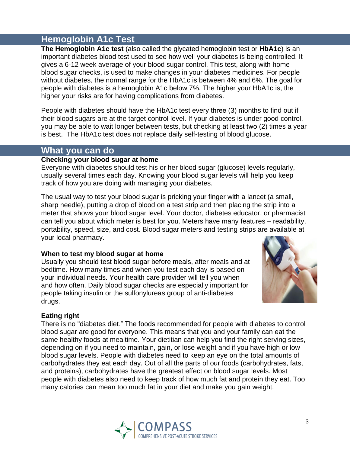# **Hemoglobin A1c Test**

**The Hemoglobin A1c test** (also called the glycated hemoglobin test or **HbA1c**) is an important diabetes blood test used to see how well your diabetes is being controlled. It gives a 6-12 week average of your blood sugar control. This test, along with home blood sugar checks, is used to make changes in your diabetes medicines. For people without diabetes, the normal range for the HbA1c is between 4% and 6%. The goal for people with diabetes is a hemoglobin A1c below 7%. The higher your HbA1c is, the higher your risks are for having complications from diabetes.

People with diabetes should have the HbA1c test every three (3) months to find out if their blood sugars are at the target control level. If your diabetes is under good control, you may be able to wait longer between tests, but checking at least two (2) times a year is best. The HbA1c test does not replace daily self-testing of blood glucose.

### **What you can do**

#### **Checking your blood sugar at home**

Everyone with diabetes should test his or her blood sugar (glucose) levels regularly, usually several times each day. Knowing your blood sugar levels will help you keep track of how you are doing with managing your diabetes.

The usual way to test your blood sugar is pricking your finger with a lancet (a small, sharp needle), putting a drop of blood on a test strip and then placing the strip into a meter that shows your blood sugar level. Your doctor, diabetes educator, or pharmacist can tell you about which meter is best for you. Meters have many features – readability, portability, speed, size, and cost. Blood sugar meters and testing strips are available at your local pharmacy.

#### **When to test my blood sugar at home**

Usually you should test blood sugar before meals, after meals and at bedtime. How many times and when you test each day is based on your individual needs. Your health care provider will tell you when and how often. Daily blood sugar checks are especially important for people taking [insulin](http://diabetes.webmd.com/content/article/46/1667_50931) or the [sulfonylureas](http://diabetes.webmd.com/content/article/59/66840) group of anti-diabetes drugs.



#### **Eating right**

There is no "diabetes diet." The foods recommended for people with diabetes to control blood sugar are good for everyone. This means that you and your family can eat the same healthy foods at mealtime. Your dietitian can help you find the right serving sizes, depending on if you need to maintain, gain, or lose weight and if you have high or low blood sugar levels. People with diabetes need to keep an eye on the total amounts of carbohydrates they eat each day. Out of all the parts of our foods (carbohydrates, fats, and proteins), carbohydrates have the greatest effect on blood sugar levels. Most people with diabetes also need to keep track of how much fat and protein they eat. Too many calories can mean too much fat in your diet and make you gain weight.

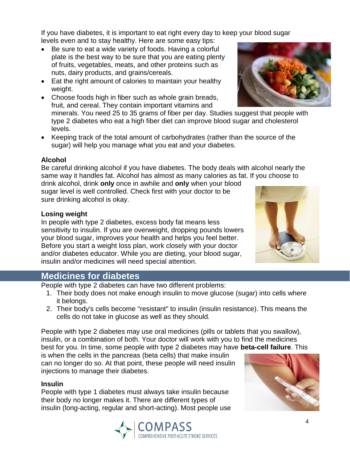If you have diabetes, it is important to eat right every day to keep your blood sugar levels even and to stay healthy. Here are some easy tips:

- Be sure to eat a wide variety of foods. Having a colorful plate is the best way to be sure that you are eating plenty of fruits, vegetables, meats, and other proteins such as nuts, dairy products, and grains/cereals.
- Eat the right amount of calories to maintain your healthy weight.
- Choose foods high in fiber such as whole grain breads, fruit, and cereal. They contain important vitamins and minerals. You need 25 to 35 grams of fiber per day. Studies suggest that people with type 2 diabetes who eat a high fiber diet can improve blood sugar and cholesterol levels.
- Keeping track of the total amount of carbohydrates (rather than the source of the sugar) will help you manage what you eat and your diabetes.

### **Alcohol**

Be careful drinking alcohol if you have diabetes. The body deals with alcohol nearly the same way it handles fat. Alcohol has almost as many calories as fat. If you choose to drink alcohol, drink **only** once in awhile and **only** when your blood sugar level is well controlled. Check first with your doctor to be sure drinking alcohol is okay.

#### **[Losing weight](http://diabetes.webmd.com/safe-diet-tips-for-diabetes)**

In people with type 2 diabetes, excess body fat means less sensitivity to insulin. If you are overweight, dropping pounds lowers your blood sugar, improves your health and helps you feel better. Before you start a weight loss plan, work closely with your doctor and/or diabetes educator. While you are dieting, your blood sugar, insulin and/or medicines will need special attention.



People with type 2 diabetes can have two different problems:

- 1. Their body does not make enough insulin to move glucose (sugar) into cells where it belongs.
- 2. Their body's cells become "resistant" to insulin (insulin resistance). This means the cells do not take in glucose as well as they should.

People with type 2 diabetes may use oral medicines (pills or tablets that you swallow), insulin, or a combination of both. Your doctor will work with you to find the medicines best for you. In time, some people with type 2 diabetes may have **beta-cell failure**. This is when the cells in the pancreas (beta cells) that make insulin can no longer do so. At that point, these people will need insulin injections to manage their diabetes.

#### **Insulin**

People with type 1 diabetes must always take insulin because their body no longer makes it. There are different types of insulin (long-acting, regular and short-acting). Most people use







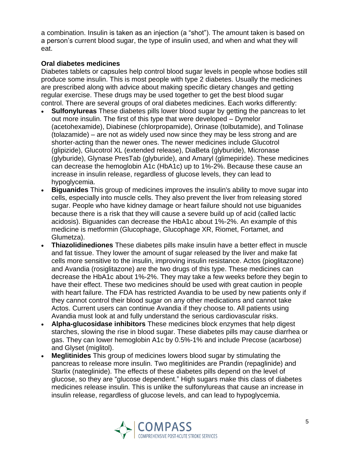a combination. Insulin is taken as an injection (a "shot"). The amount taken is based on a person's current blood sugar, the type of insulin used, and when and what they will eat.

#### **Oral diabetes medicines**

Diabetes tablets or capsules help control blood sugar levels in people whose bodies still produce some insulin. This is most people with type 2 diabetes. Usually the medicines are prescribed along with advice about making specific dietary changes and getting regular exercise. These drugs may be used together to get the best blood sugar control. There are several groups of oral diabetes medicines. Each works differently:

- **Sulfonylureas** These diabetes pills lower blood sugar by getting the pancreas to let out more insulin. The first of this type that were developed – Dymelor (acetohexamide), Diabinese (chlorpropamide), Orinase (tolbutamide), and Tolinase (tolazamide) – are not as widely used now since they may be less strong and are shorter-acting than the newer ones. The newer medicines include Glucotrol (glipizide), Glucotrol XL (extended release), DiaBeta (glyburide), Micronase (glyburide), Glynase PresTab (glyburide), and Amaryl (glimepiride). These medicines can decrease the hemoglobin A1c (HbA1c) up to 1%-2%. Because these cause an increase in insulin release, regardless of glucose levels, they can lead to hypoglycemia.
- **Biguanides** This group of medicines improves the insulin's ability to move sugar into cells, especially into muscle cells. They also prevent the liver from releasing stored sugar. People who have kidney damage or heart failure should not use biguanides because there is a risk that they will cause a severe build up of acid (called lactic acidosis). Biguanides can decrease the HbA1c about 1%-2%. An example of this medicine is metformin (Glucophage, Glucophage XR, Riomet, Fortamet, and Glumetza).
- **Thiazolidinediones** These diabetes pills make insulin have a better effect in muscle and fat tissue. They lower the amount of sugar released by the liver and make fat cells more sensitive to the insulin, improving insulin resistance. Actos (pioglitazone) and Avandia (rosiglitazone) are the two drugs of this type. These medicines can decrease the HbA1c about 1%-2%. They may take a few weeks before they begin to have their effect. These two medicines should be used with great caution in people with heart failure. The FDA has restricted Avandia to be used by new patients only if they cannot control their blood sugar on any other medications and cannot take Actos. Current users can continue Avandia if they choose to. All patients using Avandia must look at and fully understand the serious cardiovascular risks.
- **Alpha-glucosidase inhibitors** These medicines block enzymes that help digest starches, slowing the rise in blood sugar. These diabetes pills may cause diarrhea or gas. They can lower hemoglobin A1c by 0.5%-1% and include Precose (acarbose) and Glyset (miglitol).
- **Meglitinides** This group of medicines lowers blood sugar by stimulating the pancreas to release more insulin. Two meglitinides are Prandin (repaglinide) and Starlix (nateglinide). The effects of these diabetes pills depend on the level of glucose, so they are "glucose dependent." High sugars make this class of diabetes medicines release insulin. This is unlike the sulfonylureas that cause an increase in insulin release, regardless of glucose levels, and can lead to hypoglycemia.

![](_page_4_Picture_8.jpeg)